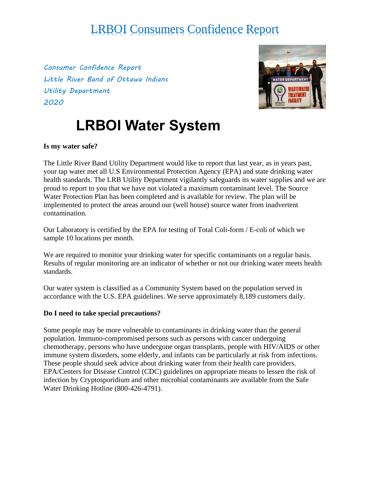*Consumer Confidence Report Little River Band of Ottawa Indians Utility Department 2020*



# **LRBOI Water System**

#### **Is my water safe?**

The Little River Band Utility Department would like to report that last year, as in years past, your tap water met all U.S Environmental Protection Agency (EPA) and state drinking water health standards. The LRB Utility Department vigilantly safeguards its water supplies and we are proud to report to you that we have not violated a maximum contaminant level. The Source Water Protection Plan has been completed and is available for review. The plan will be implemented to protect the areas around our (well house) source water from inadvertent contamination.

Our Laboratory is certified by the EPA for testing of Total Coli-form / E-coli of which we sample 10 locations per month.

We are required to monitor your drinking water for specific contaminants on a regular basis. Results of regular monitoring are an indicator of whether or not our drinking water meets health standards.

Our water system is classified as a Community System based on the population served in accordance with the U.S. EPA guidelines. We serve approximately 8,189 customers daily.

#### **Do I need to take special precautions?**

Some people may be more vulnerable to contaminants in drinking water than the general population. Immuno-compromised persons such as persons with cancer undergoing chemotherapy, persons who have undergone organ transplants, people with HIV/AIDS or other immune system disorders, some elderly, and infants can be particularly at risk from infections. These people should seek advice about drinking water from their health care providers. EPA/Centers for Disease Control (CDC) guidelines on appropriate means to lessen the risk of infection by Cryptosporidium and other microbial contaminants are available from the Safe Water Drinking Hotline (800-426-4791).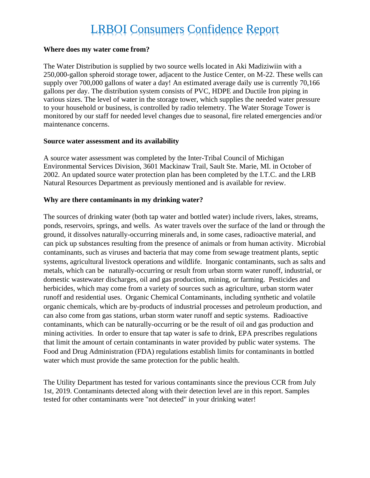#### **Where does my water come from?**

The Water Distribution is supplied by two source wells located in Aki Madiziwiin with a 250,000-gallon spheroid storage tower, adjacent to the Justice Center, on M-22. These wells can supply over 700,000 gallons of water a day! An estimated average daily use is currently 70,166 gallons per day. The distribution system consists of PVC, HDPE and Ductile Iron piping in various sizes. The level of water in the storage tower, which supplies the needed water pressure to your household or business, is controlled by radio telemetry. The Water Storage Tower is monitored by our staff for needed level changes due to seasonal, fire related emergencies and/or maintenance concerns.

#### **Source water assessment and its availability**

A source water assessment was completed by the Inter-Tribal Council of Michigan Environmental Services Division, 3601 Mackinaw Trail, Sault Ste. Marie, MI. in October of 2002. An updated source water protection plan has been completed by the I.T.C. and the LRB Natural Resources Department as previously mentioned and is available for review.

#### **Why are there contaminants in my drinking water?**

The sources of drinking water (both tap water and bottled water) include rivers, lakes, streams, ponds, reservoirs, springs, and wells. As water travels over the surface of the land or through the ground, it dissolves naturally-occurring minerals and, in some cases, radioactive material, and can pick up substances resulting from the presence of animals or from human activity. Microbial contaminants, such as viruses and bacteria that may come from sewage treatment plants, septic systems, agricultural livestock operations and wildlife. Inorganic contaminants, such as salts and metals, which can be naturally-occurring or result from urban storm water runoff, industrial, or domestic wastewater discharges, oil and gas production, mining, or farming. Pesticides and herbicides, which may come from a variety of sources such as agriculture, urban storm water runoff and residential uses. Organic Chemical Contaminants, including synthetic and volatile organic chemicals, which are by-products of industrial processes and petroleum production, and can also come from gas stations, urban storm water runoff and septic systems. Radioactive contaminants, which can be naturally-occurring or be the result of oil and gas production and mining activities. In order to ensure that tap water is safe to drink, EPA prescribes regulations that limit the amount of certain contaminants in water provided by public water systems. The Food and Drug Administration (FDA) regulations establish limits for contaminants in bottled water which must provide the same protection for the public health.

The Utility Department has tested for various contaminants since the previous CCR from July 1st, 2019. Contaminants detected along with their detection level are in this report. Samples tested for other contaminants were "not detected" in your drinking water!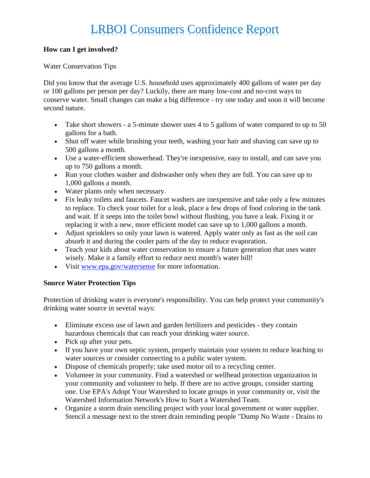#### **How can I get involved?**

#### Water Conservation Tips

Did you know that the average U.S. household uses approximately 400 gallons of water per day or 100 gallons per person per day? Luckily, there are many low-cost and no-cost ways to conserve water. Small changes can make a big difference - try one today and soon it will become second nature.

- Take short showers a 5-minute shower uses 4 to 5 gallons of water compared to up to 50 gallons for a bath.
- Shut off water while brushing your teeth, washing your hair and shaving can save up to 500 gallons a month.
- Use a water-efficient showerhead. They're inexpensive, easy to install, and can save you up to 750 gallons a month.
- Run your clothes washer and dishwasher only when they are full. You can save up to 1,000 gallons a month.
- Water plants only when necessary.
- Fix leaky toilets and faucets. Faucet washers are inexpensive and take only a few minutes to replace. To check your toilet for a leak, place a few drops of food coloring in the tank and wait. If it seeps into the toilet bowl without flushing, you have a leak. Fixing it or replacing it with a new, more efficient model can save up to 1,000 gallons a month.
- Adjust sprinklers so only your lawn is watered. Apply water only as fast as the soil can absorb it and during the cooler parts of the day to reduce evaporation.
- Teach your kids about water conservation to ensure a future generation that uses water wisely. Make it a family effort to reduce next month's water bill!
- Visit [www.epa.gov/watersense](http://www.epa.gov/watersense) for more information.

#### **Source Water Protection Tips**

Protection of drinking water is everyone's responsibility. You can help protect your community's drinking water source in several ways:

- Eliminate excess use of lawn and garden fertilizers and pesticides they contain hazardous chemicals that can reach your drinking water source.
- Pick up after your pets.
- If you have your own septic system, properly maintain your system to reduce leaching to water sources or consider connecting to a public water system.
- Dispose of chemicals properly; take used motor oil to a recycling center.
- Volunteer in your community. Find a watershed or wellhead protection organization in your community and volunteer to help. If there are no active groups, consider starting one. Use EPA's Adopt Your Watershed to locate groups in your community or, visit the Watershed Information Network's How to Start a Watershed Team.
- Organize a storm drain stenciling project with your local government or water supplier. Stencil a message next to the street drain reminding people "Dump No Waste - Drains to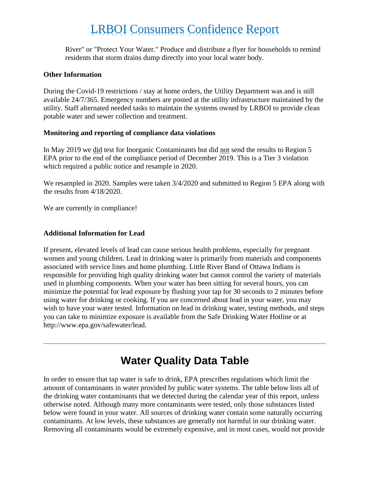River" or "Protect Your Water." Produce and distribute a flyer for households to remind residents that storm drains dump directly into your local water body.

#### **Other Information**

During the Covid-19 restrictions / stay at home orders, the Utility Department was and is still available 24/7/365. Emergency numbers are posted at the utility infrastructure maintained by the utility. Staff alternated needed tasks to maintain the systems owned by LRBOI to provide clean potable water and sewer collection and treatment.

#### **Monitoring and reporting of compliance data violations**

In May 2019 we did test for Inorganic Contaminants but did not send the results to Region 5 EPA prior to the end of the compliance period of December 2019. This is a Tier 3 violation which required a public notice and resample in 2020.

We resampled in 2020. Samples were taken  $3/4/2020$  and submitted to Region 5 EPA along with the results from 4/18/2020.

We are currently in compliance!

#### **Additional Information for Lead**

If present, elevated levels of lead can cause serious health problems, especially for pregnant women and young children. Lead in drinking water is primarily from materials and components associated with service lines and home plumbing. Little River Band of Ottawa Indians is responsible for providing high quality drinking water but cannot control the variety of materials used in plumbing components. When your water has been sitting for several hours, you can minimize the potential for lead exposure by flushing your tap for 30 seconds to 2 minutes before using water for drinking or cooking. If you are concerned about lead in your water, you may wish to have your water tested. Information on lead in drinking water, testing methods, and steps you can take to minimize exposure is available from the Safe Drinking Water Hotline or at http://www.epa.gov/safewater/lead.

### **Water Quality Data Table**

In order to ensure that tap water is safe to drink, EPA prescribes regulations which limit the amount of contaminants in water provided by public water systems. The table below lists all of the drinking water contaminants that we detected during the calendar year of this report, unless otherwise noted. Although many more contaminants were tested, only those substances listed below were found in your water. All sources of drinking water contain some naturally occurring contaminants. At low levels, these substances are generally not harmful in our drinking water. Removing all contaminants would be extremely expensive, and in most cases, would not provide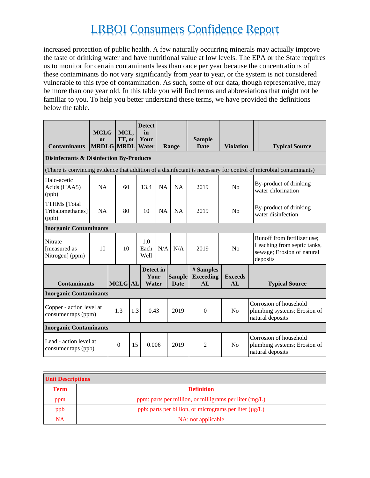increased protection of public health. A few naturally occurring minerals may actually improve the taste of drinking water and have nutritional value at low levels. The EPA or the State requires us to monitor for certain contaminants less than once per year because the concentrations of these contaminants do not vary significantly from year to year, or the system is not considered vulnerable to this type of contamination. As such, some of our data, though representative, may be more than one year old. In this table you will find terms and abbreviations that might not be familiar to you. To help you better understand these terms, we have provided the definitions below the table.

| <b>Contaminants</b>                                                                                               | <b>MCLG</b><br>or | MCL,<br>TT, or<br><b>MRDLG MRDL</b> |  | <b>Detect</b><br>in<br>Your<br><b>Water</b> |           | Range                        | <b>Sample</b><br><b>Date</b>        | <b>Violation</b>     |  | <b>Typical Source</b>                                                                                |  |  |
|-------------------------------------------------------------------------------------------------------------------|-------------------|-------------------------------------|--|---------------------------------------------|-----------|------------------------------|-------------------------------------|----------------------|--|------------------------------------------------------------------------------------------------------|--|--|
| <b>Disinfectants &amp; Disinfection By-Products</b>                                                               |                   |                                     |  |                                             |           |                              |                                     |                      |  |                                                                                                      |  |  |
| (There is convincing evidence that addition of a disinfectant is necessary for control of microbial contaminants) |                   |                                     |  |                                             |           |                              |                                     |                      |  |                                                                                                      |  |  |
| Halo-acetic<br>Acids (HAA5)<br>(ppb)                                                                              | NA<br>60          |                                     |  | 13.4                                        | <b>NA</b> | NA                           | 2019                                | No                   |  | By-product of drinking<br>water chlorination                                                         |  |  |
| <b>TTHMs</b> [Total<br>Trihalomethanes]<br>(ppb)                                                                  | <b>NA</b>         | 80                                  |  | 10                                          | <b>NA</b> | <b>NA</b>                    | 2019                                | N <sub>o</sub>       |  | By-product of drinking<br>water disinfection                                                         |  |  |
| <b>Inorganic Contaminants</b>                                                                                     |                   |                                     |  |                                             |           |                              |                                     |                      |  |                                                                                                      |  |  |
| <b>Nitrate</b><br>[measured as<br>Nitrogen] (ppm)                                                                 | 10                | 10                                  |  | 1.0<br>Each<br>Well                         | N/A       | N/A                          | 2019                                | No                   |  | Runoff from fertilizer use;<br>Leaching from septic tanks,<br>sewage; Erosion of natural<br>deposits |  |  |
| <b>Contaminants</b>                                                                                               |                   | <b>MCLG</b> AL                      |  | Detect in<br>Your<br>Water                  |           | <b>Sample</b><br><b>Date</b> | # Samples<br><b>Exceeding</b><br>AL | <b>Exceeds</b><br>AL |  | <b>Typical Source</b>                                                                                |  |  |
| <b>Inorganic Contaminants</b>                                                                                     |                   |                                     |  |                                             |           |                              |                                     |                      |  |                                                                                                      |  |  |
| Copper - action level at<br>consumer taps (ppm)                                                                   |                   | 1.3<br>1.3                          |  | 0.43                                        |           | 2019                         | $\theta$                            | N <sub>o</sub>       |  | Corrosion of household<br>plumbing systems; Erosion of<br>natural deposits                           |  |  |
| <b>Inorganic Contaminants</b>                                                                                     |                   |                                     |  |                                             |           |                              |                                     |                      |  |                                                                                                      |  |  |
| Lead - action level at<br>consumer taps (ppb)                                                                     |                   | $\theta$<br>15                      |  | 0.006                                       |           | 2019                         | $\overline{2}$                      | N <sub>o</sub>       |  | Corrosion of household<br>plumbing systems; Erosion of<br>natural deposits                           |  |  |

| <b>Unit Descriptions</b> |                                                             |  |  |  |  |
|--------------------------|-------------------------------------------------------------|--|--|--|--|
| <b>Term</b>              | <b>Definition</b>                                           |  |  |  |  |
| ppm                      | ppm: parts per million, or milligrams per liter (mg/L)      |  |  |  |  |
| ppb                      | ppb: parts per billion, or micrograms per liter $(\mu g/L)$ |  |  |  |  |
| NA                       | NA: not applicable                                          |  |  |  |  |